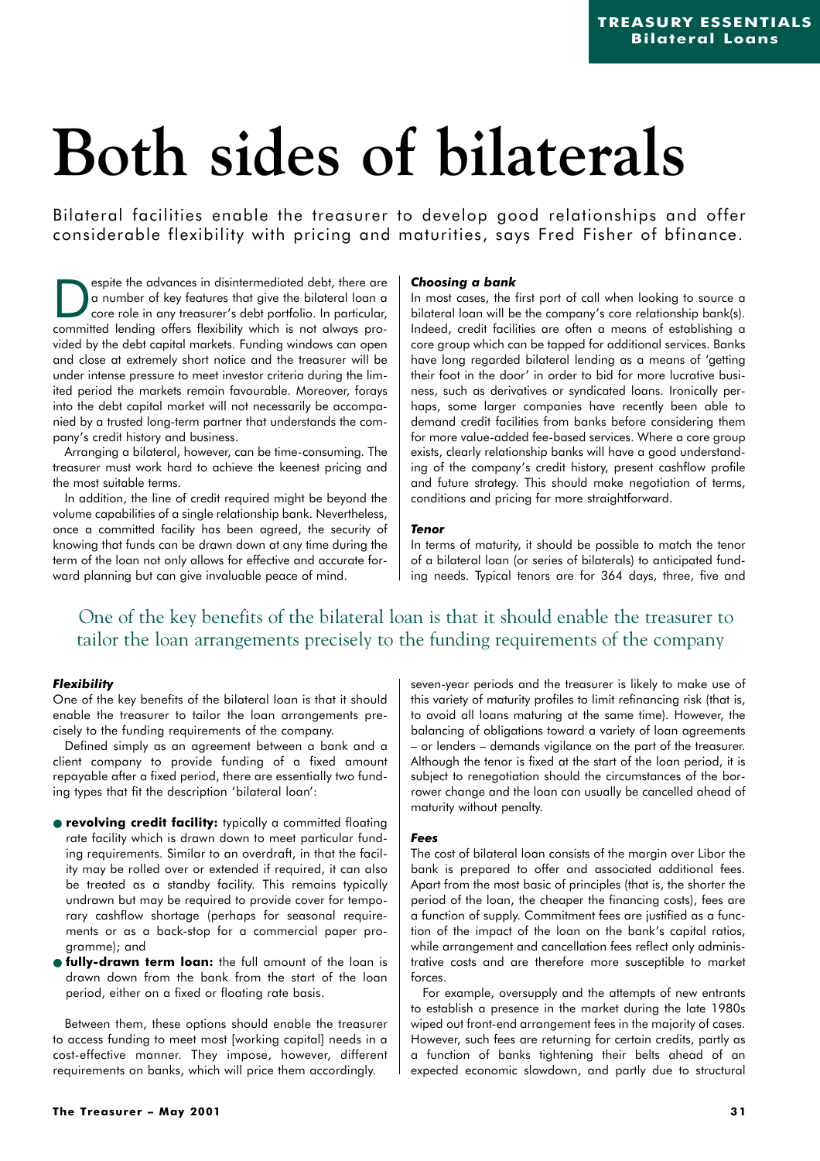# **Both sides of bilaterals**

Bilateral facilities enable the treasurer to develop good relationships and offer considerable flexibility with pricing and maturities, says Fred Fisher of bfinance.

Expite the advances in disintermediated debt, there are<br>
core role in any treasurer's debt portfolio. In particular,<br>
committed lending offers flexibility which is not glways proa number of key features that give the bilateral loan a committed lending offers flexibility which is not always provided by the debt capital markets. Funding windows can open and close at extremely short notice and the treasurer will be under intense pressure to meet investor criteria during the limited period the markets remain favourable. Moreover, forays into the debt capital market will not necessarily be accompanied by a trusted long-term partner that understands the company's credit history and business.

Arranging a bilateral, however, can be time-consuming. The treasurer must work hard to achieve the keenest pricing and the most suitable terms.

In addition, the line of credit required might be beyond the volume capabilities of a single relationship bank. Nevertheless, once a committed facility has been agreed, the security of knowing that funds can be drawn down at any time during the term of the loan not only allows for effective and accurate forward planning but can give invaluable peace of mind.

# *Choosing a bank*

In most cases, the first port of call when looking to source a bilateral loan will be the company's core relationship bank(s). Indeed, credit facilities are often a means of establishing a core group which can be tapped for additional services. Banks have long regarded bilateral lending as a means of 'getting their foot in the door' in order to bid for more lucrative business, such as derivatives or syndicated loans. Ironically perhaps, some larger companies have recently been able to demand credit facilities from banks before considering them for more value-added fee-based services. Where a core group exists, clearly relationship banks will have a good understanding of the company's credit history, present cashflow profile and future strategy. This should make negotiation of terms, conditions and pricing far more straightforward.

#### *Tenor*

In terms of maturity, it should be possible to match the tenor of a bilateral loan (or series of bilaterals) to anticipated funding needs. Typical tenors are for 364 days, three, five and

# One of the key benefits of the bilateral loan is that it should enable the treasurer to tailor the loan arrangements precisely to the funding requirements of the company

# *Flexibility*

One of the key benefits of the bilateral loan is that it should enable the treasurer to tailor the loan arrangements precisely to the funding requirements of the company.

Defined simply as an agreement between a bank and a client company to provide funding of a fixed amount repayable after a fixed period, there are essentially two funding types that fit the description 'bilateral loan':

- **revolving credit facility:** typically a committed floating rate facility which is drawn down to meet particular funding requirements. Similar to an overdraft, in that the facility may be rolled over or extended if required, it can also be treated as a standby facility. This remains typically undrawn but may be required to provide cover for temporary cashflow shortage (perhaps for seasonal requirements or as a back-stop for a commercial paper programme); and
- **fully-drawn term loan:** the full amount of the loan is drawn down from the bank from the start of the loan period, either on a fixed or floating rate basis.

Between them, these options should enable the treasurer to access funding to meet most [working capital] needs in a cost-effective manner. They impose, however, different requirements on banks, which will price them accordingly.

seven-year periods and the treasurer is likely to make use of this variety of maturity profiles to limit refinancing risk (that is, to avoid all loans maturing at the same time). However, the balancing of obligations toward a variety of loan agreements – or lenders – demands vigilance on the part of the treasurer. Although the tenor is fixed at the start of the loan period, it is subject to renegotiation should the circumstances of the borrower change and the loan can usually be cancelled ahead of maturity without penalty.

#### *Fees*

The cost of bilateral loan consists of the margin over Libor the bank is prepared to offer and associated additional fees. Apart from the most basic of principles (that is, the shorter the period of the loan, the cheaper the financing costs), fees are a function of supply. Commitment fees are justified as a function of the impact of the loan on the bank's capital ratios, while arrangement and cancellation fees reflect only administrative costs and are therefore more susceptible to market forces.

For example, oversupply and the attempts of new entrants to establish a presence in the market during the late 1980s wiped out front-end arrangement fees in the majority of cases. However, such fees are returning for certain credits, partly as a function of banks tightening their belts ahead of an expected economic slowdown, and partly due to structural